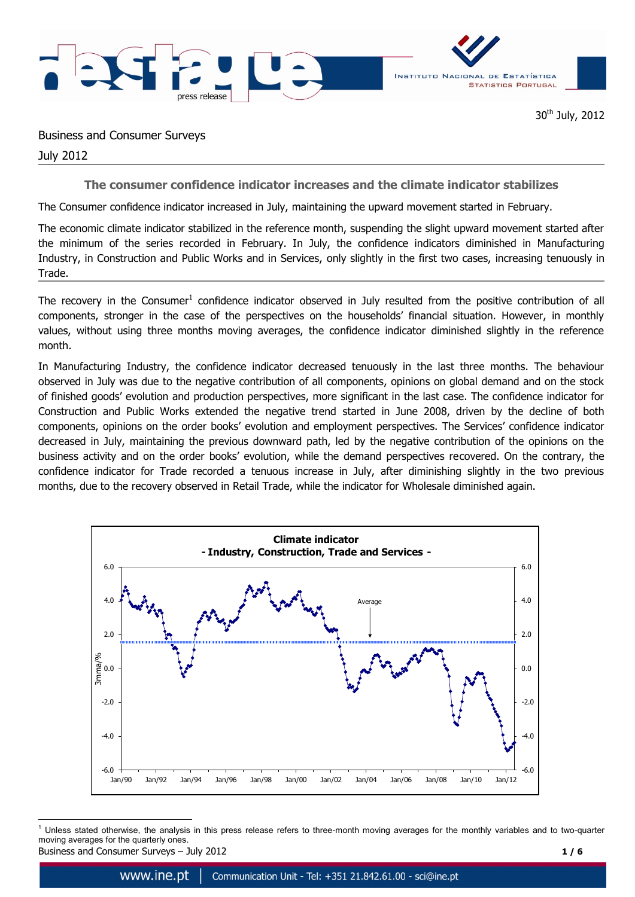

30<sup>th</sup> July, 2012

Business and Consumer Surveys

July 2012

**The consumer confidence indicator increases and the climate indicator stabilizes** 

The Consumer confidence indicator increased in July, maintaining the upward movement started in February.

The economic climate indicator stabilized in the reference month, suspending the slight upward movement started after the minimum of the series recorded in February. In July, the confidence indicators diminished in Manufacturing Industry, in Construction and Public Works and in Services, only slightly in the first two cases, increasing tenuously in Trade.

The recovery in the Consumer<sup>1</sup> confidence indicator observed in July resulted from the positive contribution of all components, stronger in the case of the perspectives on the households' financial situation. However, in monthly values, without using three months moving averages, the confidence indicator diminished slightly in the reference month.

In Manufacturing Industry, the confidence indicator decreased tenuously in the last three months. The behaviour observed in July was due to the negative contribution of all components, opinions on global demand and on the stock of finished goods' evolution and production perspectives, more significant in the last case. The confidence indicator for Construction and Public Works extended the negative trend started in June 2008, driven by the decline of both components, opinions on the order books' evolution and employment perspectives. The Services' confidence indicator decreased in July, maintaining the previous downward path, led by the negative contribution of the opinions on the business activity and on the order books' evolution, while the demand perspectives recovered. On the contrary, the confidence indicator for Trade recorded a tenuous increase in July, after diminishing slightly in the two previous months, due to the recovery observed in Retail Trade, while the indicator for Wholesale diminished again.



Business and Consumer Surveys – July 2012 **1 / 6** 1  $<sup>1</sup>$  Unless stated otherwise, the analysis in this press release refers to three-month moving averages for the monthly variables and to two-quarter</sup> moving averages for the quarterly ones.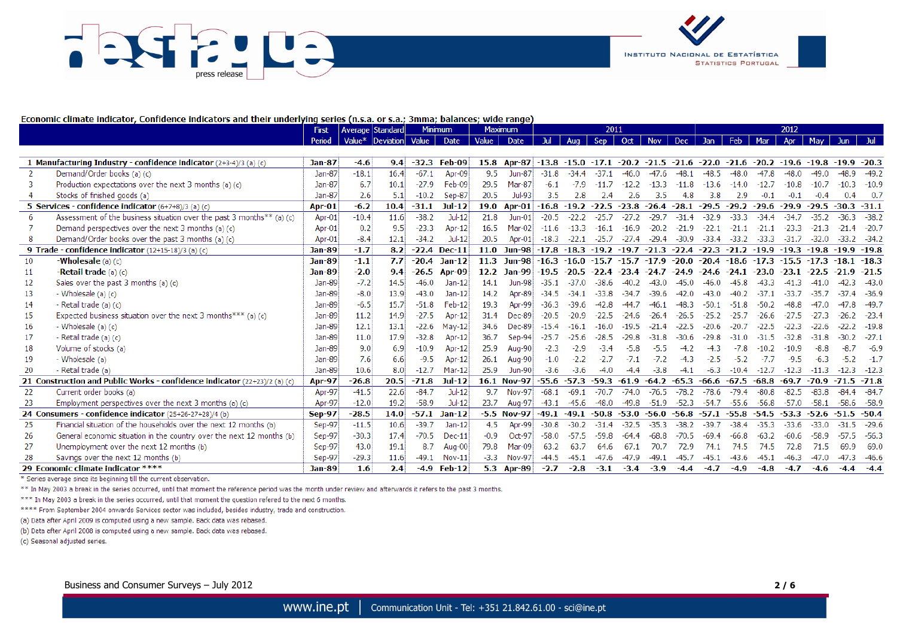



#### Economic climate indicator, Confidence indicators and their underlying series (n.s.a. or s.a.; 3mma; balances; wide range)

|     |                                                                           | First         | Average   Standard |                        |         | <b>Minimum</b> |        | <b>Maximum</b> | 2011           |         |         | 2012    |               |         |               |         |         |         |                     |                       |               |
|-----|---------------------------------------------------------------------------|---------------|--------------------|------------------------|---------|----------------|--------|----------------|----------------|---------|---------|---------|---------------|---------|---------------|---------|---------|---------|---------------------|-----------------------|---------------|
|     |                                                                           | Period        |                    | Value* Deviation Value |         | Date           | Value  | Date           | Jul            | Aug     | Sep     | Oct     | <b>Nov</b>    | Dec -   | Jan           | Feb     | Mar     | Apr     | May                 | Jun.                  |               |
|     |                                                                           |               |                    |                        |         |                |        |                |                |         |         |         |               |         |               |         |         |         |                     |                       |               |
|     | 1 Manufacturing Industry - confidence indicator $(2+3-4)/3$ (a) (c)       | <b>Jan-87</b> | $-4.6$             | 9.4                    | $-32.3$ | Feb-09         |        | 15.8 Apr-87    | $-13.8 - 15.0$ |         | $-17.1$ |         | $-20.2 -21.5$ | $-21.6$ | $-22.0 -21.6$ |         |         |         | $-20.2 -19.6 -19.8$ | $-19.9$               | --20.3        |
|     | Demand/Order books (a) (c)                                                | Jan-87        | $-18.1$            | 16.4                   | $-67.1$ | Apr-09         | 9.5    | <b>Jun-87</b>  | $-31.8$        | $-34.4$ | $-37.1$ | $-46.0$ | $-47.6$       |         | $-48.5$       | $-48.0$ |         | $-48.0$ | $-49.0$             | -48.9                 | $-49.2$       |
|     | Production expectations over the next 3 months (a) (c)                    | Jan-87        | -6.7               | 10.1                   | $-27.9$ | Feb-09         | 29.5   | Mar-87         | $-6.1$         | $-7.9$  | $-11.7$ | $-12.2$ | $-13.3$       | $-11.8$ | $-13.6$       | $-14.0$ | $-12.7$ | $-10.8$ | $-10.7$             | $-10.3$               | $-10.9$       |
|     | Stocks of finished goods (a)                                              | Jan-87        | 2.6                | 5.1                    | $-10.2$ | Sep-87         | 20.5   | Jul-93         | 3.5            | 2.8     | 2.4     | 2.6     | 3.5           | 4.8     | 3.8           | 2.9     | $-0.1$  | $-0.1$  | $-0.4$              | 0.4                   | -0.7          |
|     | 5 Services - confidence indicator (6+7+8)/3 (a) (c)                       | Apr-01        | $-6.2$             | 10.4                   | $-31.1$ | Jul-12         | 19.0   | Apr-01         | $-16.8 - 19.2$ |         | $-22.5$ | $-23.8$ | $-26.4$       | $-28.1$ | $-29.5$       | $-29.2$ | $-29.6$ | $-29.9$ | $-29.5$             | $-30.3$               | $-31.1$       |
|     | Assessment of the business situation over the past 3 months** (a) (c)     | Apr-01        | $-10.4$            | 11.6                   | $-38.2$ | $Jul-12$       | 21.8   | $Jun-01$       | $-20.5$        | $-22.2$ | $-25.7$ | $-27.2$ | $-29.7$       | $-31.4$ | $-32.9$       | $-33.3$ | $-34.4$ | $-34.7$ | $-35.2$             | $-36.3$               | $-38.2$       |
|     | Demand perspectives over the next 3 months (a) (c)                        | Apr-01        | 0.2                | 9.5                    | $-23.3$ | Apr-12         | 16.5   | $Mar-02$       | $-11.6$        | $-13.3$ | $-16.1$ | $-16.9$ | $-20.2$       | $-21.9$ | $-22.1$       | $-21.1$ | $-21.1$ | $-23.3$ | $-21.3$             | -21<br>$\overline{A}$ | $-20.7$       |
|     | Demand/Order books over the past 3 months (a) (c)                         | Apr-01        | $-8.4$             | 12.1                   | $-34.2$ | Jul-12         | 20.5   | Apr-01         | $-18.3$        | $-22.1$ | $-25.7$ | $-27.4$ | $-29.4$       | $-30.9$ | $-33.4$       | $-33.2$ | $-33.3$ | $-31.7$ | $-32.0$             |                       | $-33.2 -34.2$ |
|     | 9 Trade - confidence indicator (12+15-18)/3 (a) (c)                       | <b>Jan-89</b> | $-1.7$             | 8.2                    | $-22.4$ | $Dec-11$       | 11.0   | <b>Jun-98</b>  | $-17.8$        | $-18.3$ | $-19.2$ | $-19.7$ | $-21.3$       | $-22.4$ | $-22.3$       | $-21.2$ | $-19.9$ | $-19.3$ | $-19.8$             | $-19.9$               | $-19.8$       |
| 10  | <b>-Wholesale</b> $(a)$ $(c)$                                             | <b>Jan-89</b> | $-1.1$             | 7.7                    | $-20.4$ | $Jan-12$       | 11.3   | <b>Jun-98</b>  | $-16.3$        | $-16.0$ | $-15.7$ | $-15.7$ | $-17.9$       | $-20.0$ | $-20.4$       | $-18.6$ | $-17.3$ | $-15.5$ | $-17.3$             | -18.                  | $-18.3$       |
| -11 | <b>-Retail trade</b> $(a)(c)$                                             | Jan-89        | $-2.0$             | 9,4                    | $-26.5$ | <b>Apr-09</b>  |        | 12.2 Jan-99    | $-19.5$        | -20.5   |         | $-23.4$ | $-24.7$       | $-24.9$ | $-24.6$       | $-24.1$ | -23.0   | -23.1   | -22.5               |                       | $-21.5$       |
| 12  | Sales over the past $3$ months (a) (c)                                    | Jan-89        | $-7.2$             | 14.5                   | $-46.0$ | $Jan-12$       | 14.1   | <b>Jun-98</b>  | $-35.1$        |         | -38.6   |         |               | -45.0   | -46.          |         |         |         |                     |                       | $-43.0$       |
| 13  | - Wholesale (a) (c)                                                       | Jan-89        | $-8.0$             | 13.9                   | $-43.0$ | $Jan-12$       | 14.2   | Apr-89         | $-34.5$        |         | $-33.8$ | $-34.7$ | $-39.6$       | $-42.0$ | $-43.0$       | $-40.2$ |         |         | -35.7               | -4                    | $-36.9$       |
| 14  | - Retail trade (a) (c)                                                    | Jan-89        | $-6.5$             | 15.7                   | $-51.8$ | Feb-12         | 19.3   | Apr-99         | $-36.3$        | $-39.6$ | $-42.8$ |         |               | -48.3   | -50.1         | $-51.8$ | $-50.2$ |         |                     | 8                     | $-49.7$       |
| 15  | Expected business situation over the next 3 months *** (a) (c)            | Jan-89        | 11.2               | 14.9                   | $-27.5$ | Apr-12         | 31.4   | $Dec-89$       | $-20.5$        | $-20.9$ | $-22.5$ | $-24.$  | -26.4         |         |               | $-25.7$ | -26.6   |         |                     |                       | $-23.4$       |
| 16  | - Wholesale (a) (c)                                                       | Jan-89        | 12.1               | 13.1                   | $-22.6$ | $May-12$       | 34.6   | Dec-89         | $-15.4$        | $-16.1$ | -16.0   |         | $-21.4$       | $-22.5$ | $-20.6$       | $-20.7$ | $-22.5$ |         | $-22.6$             |                       | $-19.8$       |
| 17  | - Retail trade (a) (c)                                                    | Jan-89        | 11.0               | 17.9                   | $-32.8$ | Apr-12         | 36.7   | Sep-94         | $-25.7$        | $-25.6$ | $-28.5$ | $-29.8$ | $-31.8$       | $-30.6$ | $-29.8$       | $-31.0$ | $-31.5$ | $-32.8$ | $-31.8$             | $-30.2$               | $-27.3$       |
| 18  | Volume of stocks (a)                                                      | Jan-89        | 9.0                | 6.9                    | $-10.9$ | Apr-12         | 25.9   | Aug-90         | $-2.3$         | $-2.9$  | $-3.4$  | $-5.8$  | $-5.5$        | $-4.2$  | $-4.3$        | $-7.8$  | $-10.2$ | $-10.9$ | $-8.8$              | -8.                   | $-6.9$        |
| 19  | - Wholesale (a)                                                           | Jan-89        | 7.6                | 6.6                    | $-9.5$  | Apr-12         | 26.1   | <b>Aug-90</b>  | $-1.0$         | $-2.2$  | $-2.7$  | $-7.1$  | $-7.2$        | $-4.3$  | $-2.5$        | $-5.2$  | $-7.7$  | $-9.5$  | $-6.3$              | $-5.2$                | $-1.7$        |
| 20  | - Retail trade (a)                                                        | Jan-89        | 10.6               | 8.0                    | $-12.7$ | Mar-12         | 25.9   | <b>Jun-90</b>  | $-3.6$         | $-3.6$  | $-4.0$  | $-4.4$  | $-3.8$        | $-4.1$  | $-6.3$        | $-10.4$ | $-12.7$ | $-12.3$ | $-11.3$             | $-12.3$               | $-12.3$       |
|     | 21 Construction and Public Works - confidence indicator (22+23)/2 (a) (c) | <b>Apr-97</b> | $-26.8$            | 20.5                   | $-71.8$ | <b>Jul-12</b>  |        | 16.1 Nov-97    | $-55.6$        | $-57.3$ | $-59.3$ | $-61.9$ | $-64.2$       | $-65.3$ | $-66.6$       | $-67.5$ | $-68.8$ | $-69.7$ | $-70.9$             | $-71.5$               | $-71.8$       |
| 22  | Current order books (a)                                                   | Apr-97        | $-41.5$            | 22.6                   | $-84.7$ | $Jul-12$       | 9.7    | <b>Nov-97</b>  | $-68.1$        | $-69.1$ | $-70.7$ | $-74.0$ | $-76.5$       | $-78.2$ | $-78.6$       | $-79.4$ | $-80.8$ | $-82.5$ | $-83.8$             | $-84.4$               | $-84.7$       |
| 23  | Employment perspectives over the next 3 months (a) (c)                    | Apr-97        | $-12.0$            | 19.2                   | $-58.9$ | $Jul-12$       | 23.7   | Aug-97         | $-43.1$        | $-45.6$ | $-48.0$ | $-49.8$ | $-51.9$       | $-52.3$ | $-54.7$       | $-55.6$ | $-56.8$ | $-57.0$ | $-58.1$             | $-58.6$               | $-58.9$       |
|     | 24 Consumers - confidence indicator (25+26-27+28)/4 (b)                   | <b>Sep-97</b> | $-28.5$            | 14.0                   | $-57.1$ | $Jan-12$       |        | $-5.5$ Nov-97  | $-49.1$        | $-49.1$ | $-50.8$ | $-53.0$ | $-56.0$       | $-56.8$ | $-57.1$       | $-55.8$ | $-54.5$ | -53.3   | $-52.6$             | $-51.5$               | $-50.4$       |
| 25  | Financial situation of the households over the next 12 months (b)         | Sep-97        | $-11.5$            | 10.6                   | $-39.7$ | $Jan-12$       | 4.5    | Apr-99         | $-30.8$        | $-30.2$ | $-31.4$ | $-32.5$ | $-35.3$       | $-38.2$ | $-39.7$       | $-38.4$ | $-35.3$ | $-33.6$ | $-33.0$             | $-31$<br>.5           | $-29.6$       |
| 26  | General economic situation in the country over the next 12 months (b)     | Sep-97        | $-30.3$            | 17.4                   | $-70.5$ | $Dec-11$       | $-0.9$ | Oct-97         | $-58.0$        | $-57.5$ | $-59.8$ | $-64.4$ | $-68.8$       | $-70.5$ | $-69.$        | $-66.8$ | $-63.2$ | $-60.6$ | $-58.9$             | -57<br>15.            | $-56.3$       |
| 27  | Unemployment over the next 12 months (b)                                  | Sep-97        | 43.0               | 19.1                   | 8.7     | Aug-00         | 79.8   | Mar-09         | 63.2           | 63.7    | 64.6    | 67.1    | 70.7          | 72.9    | 74.1          | 74.5    | 74.5    | 72.8    | 71.5                | 69.9                  | 69.0          |
| 28  | Savings over the next 12 months (b)                                       | Sep-97        | $-29.3$            | 11.6                   | $-49.1$ | Nov-11         | $-3.3$ | <b>Nov-97</b>  | $-44.5$        | $-45.1$ | $-47.6$ | $-47.9$ | $-49.1$       | $-45.7$ | $-45.1$       | $-43.6$ | $-45.1$ | $-46.3$ | $-47.0$             | $-47.3$               | $-46.6$       |
|     | 29 Economic climate indicator ****                                        | <b>Jan-89</b> | 1.6                | 2.4                    | $-4.9$  | $Feb-12$       |        | 5.3 Apr-89     | $-2.7$         | $-2.8$  | $-3.1$  | $-3.4$  | $-3.9$        | $-4.4$  | $-4.7$        | $-4.9$  | $-4.8$  | $-4.7$  | $-4.6$              | $-4.4$                | $-4.4$        |

\* Series average since its beginning till the current observation.

\*\* In May 2003 a break in the series occurred, until that moment the reference period was the month under review and afterwards it refers to the past 3 months.

\*\*\* In May 2003 a break in the series occurred, until that moment the question refered to the next 6 months.

\*\*\*\* From September 2004 onwards Services sector was included, besides industry, trade and construction.

(a) Data after April 2009 is computed using a new sample. Back data was rebased.

(b) Data after April 2008 is computed using a new sample. Back data was rebased.

(c) Seasonal adjusted series.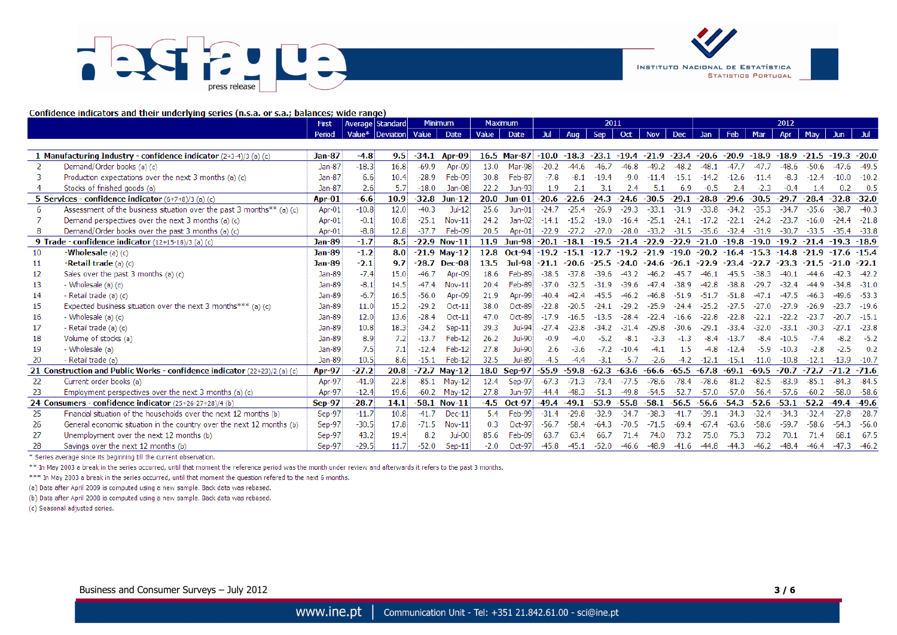# U DA press release



Confidence indicators and their underlying series (n.s.a. or s.a.; balances; wide range)

|               |                                                                           | First         | Average Standard       |      |         | <b>Minimum</b> |        | <b>Maximum</b> |                | 2011    |                     |         |            | 2012      |         |         |         |         |         |                |         |
|---------------|---------------------------------------------------------------------------|---------------|------------------------|------|---------|----------------|--------|----------------|----------------|---------|---------------------|---------|------------|-----------|---------|---------|---------|---------|---------|----------------|---------|
|               |                                                                           | Period        | Value* Deviation Value |      |         | Date           | Value  | Date           |                | Aug     | Sep                 | Oct     | <b>Nov</b> | Dec       | Jan     | Feb     | Mar     | Apr     | May     | <b>Jun</b>     |         |
|               |                                                                           |               |                        |      |         |                |        |                |                |         |                     |         |            |           |         |         |         |         |         |                |         |
|               | 1 Manufacturing Industry - confidence indicator (2+3-4)/3 (a) (c)         | <b>Jan-87</b> | $-4.8$                 | 9.5  | $-34.1$ | Apr-09         |        | 16.5 Mar-87    | $-10.0 -18.3$  |         | $-23.1 -19.4 -21.9$ |         |            | $-23.4$   | $-20.6$ | $-20.9$ | $-18.9$ | $-18.9$ | -21.5   | $-19.3 - 20.0$ |         |
| $\mathcal{P}$ | Demand/Order books (a) (c)                                                | Jan-87        | $-18.3$                | 16.8 | $-69.9$ | Apr-09         | 13.0   | Mar-98         | $-20.2$        | $-446$  | $-46.7$             | $-46.8$ | $-49.2$    | $-48.2$   | $-48.1$ | $-477$  | $-47.7$ | $-48.6$ | $-50.6$ | $-47.6$        | $-49.5$ |
|               | Production expectations over the next 3 months (a) (c)                    | Jan-87        | 6.6                    | 10.4 | $-28.9$ | Feb-09         | 30.8   | Feb-87         | $-7.8$         | $-8.1$  | $-19.4$             | $-9.0$  | $-11.4$    | $-15.1$   | $-14.2$ | $-12.6$ | $-11.4$ | $-8.3$  | $-12.4$ | $-10.0$        | $-10.2$ |
|               | Stocks of finished goods (a)                                              | Jan-87        | 2.6                    | 5.7  | $-18.0$ | Jan-08         | 22.2   | Jun-93         | 1.9            |         |                     | 2.4     | 5.1        | 6.9       | $-0.5$  | 2.4     | $-2.3$  | $-0.4$  |         | 0.2            | 0.5     |
|               | 5 Services - confidence indicator $(6+7+8)/3$ (a) (c)                     | Apr-01        | $-6.6$                 | 10.9 | $-32.8$ | $Jun-12$       | 20.0   | $J$ un-01      | $-20.6$        | $-22.6$ | $-24.3$             | $-24.6$ | $-30.5$    | $-29.1$   | $-28.8$ | $-29.6$ | $-30.5$ | $-29.7$ | $-28.4$ | $-32.8$        | -32.0   |
| 6             | Assessment of the business situation over the past 3 months $**$ (a) (c)  | Apr-01        | $-10.8$                | 12.0 | $-40.3$ | $Jul-12$       | 25.6   | $Jun-01$       | $-24.7$        | $-25.4$ | $-26.9$             | $-29.3$ | $-33.1$    | $-31.9$   | $-33.8$ | $-34.2$ | $-35.3$ | $-34.7$ | $-35.6$ | $-38.7$        | $-40.3$ |
|               | Demand perspectives over the next 3 months (a) (c)                        | Apr-01        | $-0.1$                 | 10.8 | $-25.1$ | Nov-11         | 24.2   | $Jan-02$       | $-14.1$        | $-15.2$ | $-19.0$             | $-16.4$ | $-25.1$    | $-24.1$   |         | $-22.1$ | $-24.2$ | $-23.7$ | $-16.0$ | .4             | $-21.8$ |
|               | Demand/Order books over the past 3 months (a) (c)                         | Apr-01        | $-8.8$                 | 12.8 | $-37.7$ | Feb-09         | 20.5   | Apr-01         | $-22.9$        | $-27.2$ | $-27.0$             | $-28.0$ | $-33.2$    | $-31.5$   | $-35.6$ | $-32.4$ | $-31.9$ | $-30.7$ | $-33.5$ | $-35.4$        | $-33.8$ |
|               | 9 Trade - confidence indicator (12+15-18)/3 (a) (c)                       | <b>Jan-89</b> | -1.7                   | 8.5  |         | $-22.9$ Nov-11 | 11.9   | Jun-98         | $-20.1 - 18.1$ |         | $-19.5$             | $-21.4$ | $-22.9$    | $-22.9$   | $-21.0$ | $-19.8$ | $-19.0$ | $-19.2$ | $-21.4$ | $-19.3$        | $-18.9$ |
| 10            | -Wholesale (a) (c)                                                        | <b>Jan-89</b> | $-1.2$                 | 8.0  |         | $-21.9$ May-12 | 12.8   | $Oct-94$       | -19.2          | -15.1   | $-12.7$             | $-19.2$ | $-21.9$    | $-19.0$   | $-20.2$ | $-16.4$ | $-15.3$ | $-14.8$ | $-21.9$ | .6             | $-15.4$ |
| 11            | <b>-Retail trade</b> $(a)$ $(c)$                                          | Jan-89        | $-2.1$                 | 9.7  | $-28.7$ | Dec-08         | 13.5   | <b>Jul-98</b>  | -21.1          | $-20.6$ | $-25.5$             | $-24.0$ | $-24.6$    | $-26.1$   | $-22.9$ | -23.4   | $-22.7$ | -23.3   | $-21.5$ |                | $-22.1$ |
| 12            | Sales over the past 3 months (a) (c)                                      | Jan-89        | $-7.4$                 | 15.0 | $-46.7$ | Apr-09         | 18.6   | Feb-89         | $-38.5$        |         | $-39.6$             | -43.2   |            |           | -46.1   |         | -38.3   |         |         |                | $-42.2$ |
| 13            | - Wholesale $(a)$ $(c)$                                                   | Jan-89        | $-8.1$                 | 14.5 | $-47.4$ | Nov-11         | 20.4   | Feb-89         | $-37.0$        | $-32.5$ | $-31.9$             | $-39.6$ |            | -38.9     | $-42.8$ | $-38.8$ | $-29.7$ | $-32.4$ | -44 9   |                | $-31.0$ |
| 14            | - Retail trade (a) (c)                                                    | Jan-89        | $-6.7$                 | 16.5 | $-56.0$ | Apr-09         | 21.9   | Apr-99         | $-40.4$        |         | -45.5               |         |            | -51<br>.9 |         | $-51.8$ |         | $-47.5$ |         |                | $-53.3$ |
| 15            | Expected business situation over the next 3 months *** (a) (c)            | Jan-89        | 11.0                   | 15.2 | $-29.2$ | $Oct-11$       | 38.0   | Oct-89         | $-22.8$        |         | -24.1               | $-29.2$ | $-25.9$    | -24.4     | $-25.2$ | $-27.5$ | $-27.0$ | -27.9   | $-26.9$ |                | $-19.6$ |
| 16            | - Wholesale $(a)$ $(c)$                                                   | Jan-89        | 12.0                   | 13.6 | $-28.4$ | $Oct-11$       | 47.0   | Oct-89         | $-17.9$        | $-16.5$ | $-13.5$             | $-28.4$ | $-22.4$    | $-16.6$   | $-22.8$ | $-22.8$ | $-22.1$ | $-22.2$ | $-23.7$ | -20 7          | $-15.7$ |
| 17            | - Retail trade (a) (c)                                                    | Jan-89        | 10.8                   | 18.3 | $-34.2$ | $Sep-11$       | 39.3   | Jul-94         | $-27.4$        | $-23.8$ | $-34.2$             | $-31.4$ | $-29.8$    | $-30.6$   | $-29.$  | $-33.4$ | -32.0   | $-33.1$ | $-30.3$ |                | $-23.8$ |
| 18            | Volume of stocks (a)                                                      | Jan-89        | 8.9                    | 7.2  | $-13.7$ | Feb-12         | 26.2   | $Jul-90$       | $-0.9$         | $-4.0$  | $-5.2$              |         | $-3.3$     | -1.3      |         | $-13.7$ | $-8.4$  | $-10.5$ |         |                | $-5.2$  |
| 19            | - Wholesale (a)                                                           | Jan-89        | 7.5                    | 7.1  | $-12.4$ | Feb-12         | 27.8   | Jul-90         | 2.6            | $-3.6$  | $-7.2$              | $-10.4$ | -4.1       | 1.5       | $-4.8$  | $-12.4$ | $-5.9$  | $-10.3$ | $-2.8$  | $-2.5$         | 0.2     |
| 20            | - Retail trade (a)                                                        | Jan-89        | 10.5                   | 8.6  | $-15.1$ | Feb-12         | 32.5   | Jul-89         | $-4.5$         | $-4.4$  | $-3.1$              | $-5.7$  | $-2.6$     | $-4.2$    | $-12.1$ | $-15.1$ | $-11.0$ | $-10.8$ | $-12.1$ | $-13.9$        | $-10.7$ |
|               | 21 Construction and Public Works - confidence indicator (22+23)/2 (a) (c) | <b>Apr-97</b> | $-27.2$                | 20.8 | $-72.7$ | <b>Mav-12</b>  | 18.0   | <b>Sep-97</b>  | $-55.9$        | $-59.8$ | $-62.3$             | $-63.6$ | $-66.6$    | $-65.5$   | $-67.8$ | $-69.1$ | $-69.5$ | $-70.7$ | $-72.7$ | $-71.2 -71.6$  |         |
| 22            | Current order books (a)                                                   | Apr-97        | $-41.9$                | 22.8 | $-85.1$ | Mav-12         | 12.4   | Sep-97         | $-67.3$        |         | $-73.4$             | $-77.5$ | $-78.6$    | $-78.4$   | $-78.6$ | $-81.2$ | $-82.5$ | $-83.9$ | $-85.1$ | $-84.3$        | $-84.5$ |
| 23            | Employment perspectives over the next 3 months (a) (c)                    | Apr-97        | $-12.4$                | 19.6 | $-60.2$ | $Mav-12$       | 27.8   | Jun-97         | $-44.4$        | $-48.3$ | $-51.3$             | $-49.8$ | $-54.5$    | $-52.7$   | $-57.0$ | $-57.0$ | $-56.4$ | $-57.6$ | $-60.2$ | $-58.0$        | $-58.6$ |
|               | 24 Consumers - confidence indicator (25+26-27+28)/4 (b)                   | $Sep-97$      | $-28.7$                | 14.1 |         | $-58.1$ Nov-11 |        | $-4.5$ Oct-97  | $-49.4$        | $-49.1$ | $-53.9$             | $-55.8$ | $-58.1$    | $-56.5$   | $-56.6$ | $-54.3$ | $-52.6$ | $-53.1$ | $-52.2$ | $-49.4$        | -49.6   |
| 25            | Financial situation of the households over the next 12 months (b)         | Sep-97        | $-11.7$                | 10.8 | $-41.7$ | $Dec-11$       | 5.4    | Feb-99         | $-31.4$        | $-29.8$ | $-32.9$             | $-34.7$ | $-38.3$    | $-41.7$   | $-39.1$ | $-34.3$ | $-32.4$ | $-34.3$ | $-32.4$ | $-27.8$        | $-28.7$ |
| 26            | General economic situation in the country over the next 12 months (b)     | Sep-97        | $-30.5$                | 17.8 | $-71.5$ | Nov-11         | 0.3    | $Oct-97$       | $-56.7$        | $-58.4$ | $-64.3$             | $-70.5$ | $-71.5$    | $-69.4$   | $-67.4$ | $-63.6$ | $-58.6$ | $-59.7$ | $-58.6$ | $-54.3$        | $-56.0$ |
| 27            | Unemployment over the next 12 months (b)                                  | Sep-97        | 43.2                   | 19.4 | 8.2     | $Jul-00$       | 85.6   | Feb-09         | 63.7           | 63.4    | 66.7                | 71.4    | 74.0       | 73.2      | 75.0    | 75.3    | 73.2    | 70.1    | 71.4    | 68.1           | -67.5   |
| 28            | Savings over the next 12 months (b)                                       | Sep-97        | $-29.5$                | 11.7 | $-52.0$ | $Sep-11$       | $-2.0$ | $Oct-97$       | $-45.8$        | $-45.1$ | $-52.0$             | $-46.6$ | $-48.9$    | $-41.6$   | $-44.8$ | $-44.3$ | $-46.2$ | $-48.4$ | $-46.4$ | -47.3          | $-46.2$ |

\* Series average since its beginning till the current observation.

\*\* In May 2003 a break in the series occurred, until that moment the reference period was the month under review and afterwards it refers to the past 3 months.

\*\*\* In May 2003 a break in the series occurred, until that moment the question refered to the next 6 months.

(a) Data after April 2009 is computed using a new sample. Back data was rebased.

(b) Data after April 2008 is computed using a new sample. Back data was rebased.

(c) Seasonal adjusted series.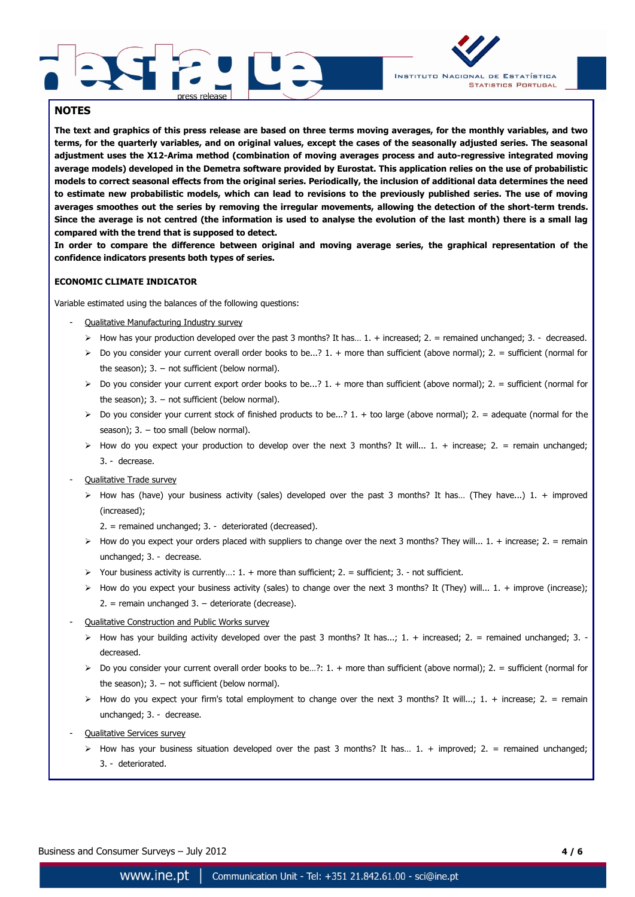



## **NOTES**

**The text and graphics of this press release are based on three terms moving averages, for the monthly variables, and two terms, for the quarterly variables, and on original values, except the cases of the seasonally adjusted series. The seasonal adjustment uses the X12-Arima method (combination of moving averages process and auto-regressive integrated moving average models) developed in the Demetra software provided by Eurostat. This application relies on the use of probabilistic models to correct seasonal effects from the original series. Periodically, the inclusion of additional data determines the need to estimate new probabilistic models, which can lead to revisions to the previously published series. The use of moving averages smoothes out the series by removing the irregular movements, allowing the detection of the short-term trends. Since the average is not centred (the information is used to analyse the evolution of the last month) there is a small lag compared with the trend that is supposed to detect.**

**In order to compare the difference between original and moving average series, the graphical representation of the confidence indicators presents both types of series.**

### **ECONOMIC CLIMATE INDICATOR**

Variable estimated using the balances of the following questions:

- Qualitative Manufacturing Industry survey
	- $\triangleright$  How has your production developed over the past 3 months? It has... 1. + increased; 2. = remained unchanged; 3. decreased.
	- $\triangleright$  Do you consider your current overall order books to be...? 1. + more than sufficient (above normal); 2. = sufficient (normal for the season):  $3. -$  not sufficient (below normal).
	- $\triangleright$  Do you consider your current export order books to be...? 1. + more than sufficient (above normal); 2. = sufficient (normal for the season);  $3. -$  not sufficient (below normal).
	- $\triangleright$  Do you consider your current stock of finished products to be...? 1. + too large (above normal); 2. = adequate (normal for the season);  $3. -$  too small (below normal).
	- $\triangleright$  How do you expect your production to develop over the next 3 months? It will... 1. + increase; 2. = remain unchanged; 3. - decrease.
- Qualitative Trade survey
	- $\triangleright$  How has (have) your business activity (sales) developed over the past 3 months? It has... (They have...) 1. + improved (increased);
		- 2. = remained unchanged; 3. deteriorated (decreased).
	- $\triangleright$  How do you expect your orders placed with suppliers to change over the next 3 months? They will... 1. + increase; 2. = remain unchanged; 3. - decrease.
	- $\triangleright$  Your business activity is currently...: 1. + more than sufficient; 2. = sufficient; 3. not sufficient.
	- $\triangleright$  How do you expect your business activity (sales) to change over the next 3 months? It (They) will... 1. + improve (increase); 2. = remain unchanged 3. − deteriorate (decrease).
- Qualitative Construction and Public Works survey
	- $\triangleright$  How has your building activity developed over the past 3 months? It has...; 1. + increased; 2. = remained unchanged; 3. decreased.
	- $\triangleright$  Do you consider your current overall order books to be...?: 1. + more than sufficient (above normal); 2. = sufficient (normal for the season);  $3. -$  not sufficient (below normal).
	- $\triangleright$  How do you expect your firm's total employment to change over the next 3 months? It will...; 1. + increase; 2. = remain unchanged; 3. - decrease.
- **Qualitative Services survey** 
	- $\triangleright$  How has your business situation developed over the past 3 months? It has... 1. + improved; 2. = remained unchanged; 3. - deteriorated.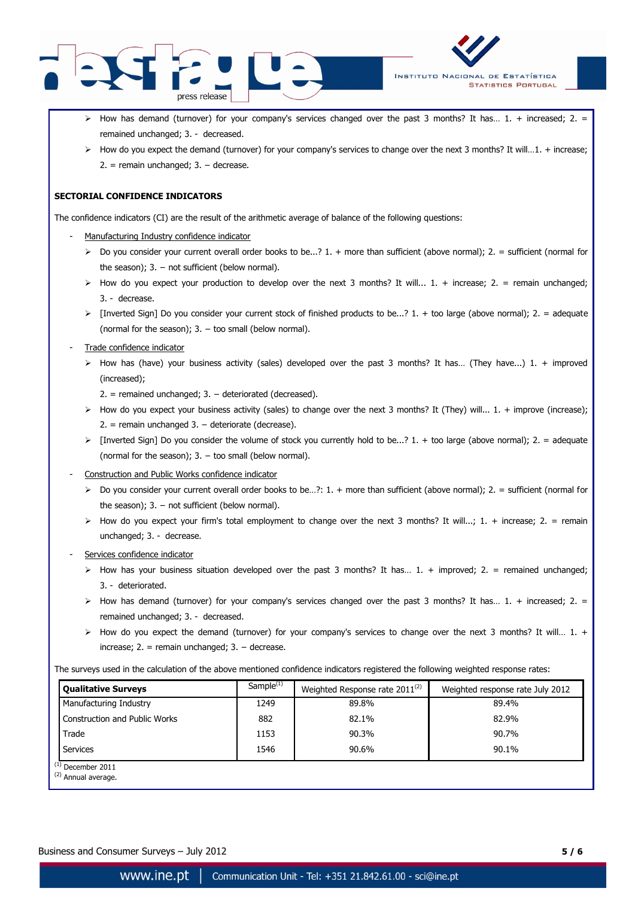



- $\triangleright$  How has demand (turnover) for your company's services changed over the past 3 months? It has... 1. + increased; 2. = remained unchanged; 3. - decreased.
- $\triangleright$  How do you expect the demand (turnover) for your company's services to change over the next 3 months? It will...1. + increase; 2. = remain unchanged; 3. − decrease.

#### **SECTORIAL CONFIDENCE INDICATORS**

The confidence indicators (CI) are the result of the arithmetic average of balance of the following questions:

- Manufacturing Industry confidence indicator
	- $\triangleright$  Do you consider your current overall order books to be...? 1. + more than sufficient (above normal): 2. = sufficient (normal for the season);  $3. -$  not sufficient (below normal).
	- $\triangleright$  How do you expect your production to develop over the next 3 months? It will... 1. + increase; 2. = remain unchanged; 3. - decrease.
	- $\triangleright$  [Inverted Sign] Do you consider your current stock of finished products to be...? 1. + too large (above normal); 2. = adequate (normal for the season);  $3. -$  too small (below normal).
- Trade confidence indicator
	- $\triangleright$  How has (have) your business activity (sales) developed over the past 3 months? It has... (They have...) 1. + improved (increased);
		- 2. = remained unchanged; 3. − deteriorated (decreased).
	- $\triangleright$  How do you expect your business activity (sales) to change over the next 3 months? It (They) will... 1. + improve (increase); 2. = remain unchanged 3. − deteriorate (decrease).
	- $\triangleright$  [Inverted Sign] Do you consider the volume of stock you currently hold to be...? 1. + too large (above normal); 2. = adequate (normal for the season);  $3. -$  too small (below normal).
- Construction and Public Works confidence indicator
	- $\triangleright$  Do you consider your current overall order books to be...?: 1. + more than sufficient (above normal); 2. = sufficient (normal for the season);  $3. -$  not sufficient (below normal).
	- $\triangleright$  How do you expect your firm's total employment to change over the next 3 months? It will...; 1. + increase; 2. = remain unchanged; 3. - decrease.
- Services confidence indicator
	- $\triangleright$  How has your business situation developed over the past 3 months? It has... 1. + improved; 2. = remained unchanged; 3. - deteriorated.
	- $\triangleright$  How has demand (turnover) for your company's services changed over the past 3 months? It has... 1. + increased; 2. = remained unchanged; 3. - decreased.
	- $\triangleright$  How do you expect the demand (turnover) for your company's services to change over the next 3 months? It will... 1. + increase;  $2. =$  remain unchanged;  $3. -$  decrease.

The surveys used in the calculation of the above mentioned confidence indicators registered the following weighted response rates:

| <b>Qualitative Surveys</b>                     | Sample $(1)$ | Weighted Response rate 2011 <sup>(2)</sup> | Weighted response rate July 2012 |  |  |  |  |
|------------------------------------------------|--------------|--------------------------------------------|----------------------------------|--|--|--|--|
| Manufacturing Industry                         | 1249         | 89.8%                                      | 89.4%                            |  |  |  |  |
| <b>Construction and Public Works</b>           | 882          | 82.1%                                      | 82.9%                            |  |  |  |  |
| Trade                                          | 1153         | 90.3%                                      | 90.7%                            |  |  |  |  |
| Services                                       | 1546         | 90.6%                                      | 90.1%                            |  |  |  |  |
| $^{(1)}$ December 2011<br>$(2)$ Annual average |              |                                            |                                  |  |  |  |  |

Annual average.